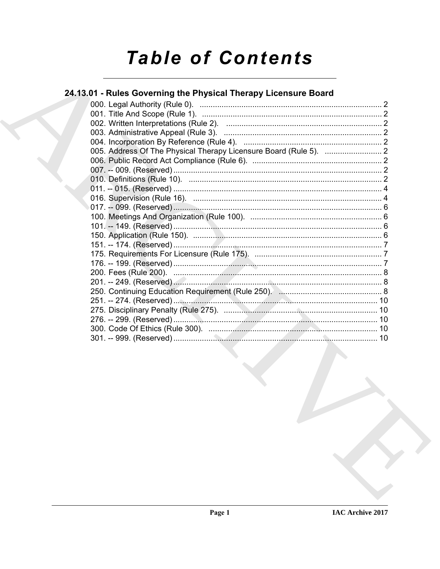# **Table of Contents**

### 24.13.01 - Rules Governing the Physical Therapy Licensure Board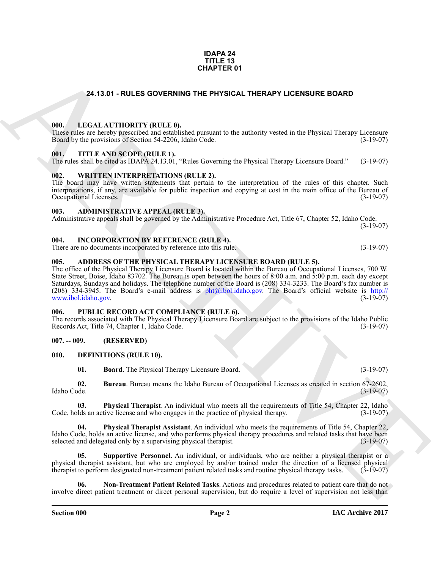#### **IDAPA 24 TITLE 13 CHAPTER 01**

#### **24.13.01 - RULES GOVERNING THE PHYSICAL THERAPY LICENSURE BOARD**

#### <span id="page-1-1"></span><span id="page-1-0"></span>**000. LEGAL AUTHORITY (RULE 0).**

These rules are hereby prescribed and established pursuant to the authority vested in the Physical Therapy Licensure<br>Board by the provisions of Section 54-2206, Idaho Code. (3-19-07) Board by the provisions of Section 54-2206, Idaho Code.

#### <span id="page-1-2"></span>**001. TITLE AND SCOPE (RULE 1).**

The rules shall be cited as IDAPA 24.13.01, "Rules Governing the Physical Therapy Licensure Board." (3-19-07)

#### <span id="page-1-3"></span>**002. WRITTEN INTERPRETATIONS (RULE 2).**

The board may have written statements that pertain to the interpretation of the rules of this chapter. Such interpretations, if any, are available for public inspection and copying at cost in the main office of the Bureau of Occupational Licenses.

#### <span id="page-1-4"></span>**003. ADMINISTRATIVE APPEAL (RULE 3).**

Administrative appeals shall be governed by the Administrative Procedure Act, Title 67, Chapter 52, Idaho Code. (3-19-07)

#### <span id="page-1-5"></span>**004. INCORPORATION BY REFERENCE (RULE 4).**

There are no documents incorporated by reference into this rule. (3-19-07)

#### <span id="page-1-6"></span>**005. ADDRESS OF THE PHYSICAL THERAPY LICENSURE BOARD (RULE 5).**

**[CH](mailto:pht@ibol.idaho.gov)ARCHIVE OVERNIME THE REVISION THERE ART IS CONFIDENT INTERFARY LICENSURE BOARD<br>
WE LEVEL A ATTIONATIVE (REVIS TO AND SURFAINT VERSION THE REVIS OF THE SECTION CONFIDENT (REVIS TO AN ARCHIVE CHARCHIVE CONFIDENT IS CONFI** The office of the Physical Therapy Licensure Board is located within the Bureau of Occupational Licenses, 700 W. State Street, Boise, Idaho 83702. The Bureau is open between the hours of 8:00 a.m. and 5:00 p.m. each day except Saturdays, Sundays and holidays. The telephone number of the Board is (208) 334-3233. The Board's fax number is (208) 334-3945. The Board's e-mail address is pht@ibol.idaho.gov. The Board's official website is http:// www.ibol.idaho.gov. (3-19-07)

#### <span id="page-1-7"></span>**006. PUBLIC RECORD ACT COMPLIANCE (RULE 6).**

The records associated with The Physical Therapy Licensure Board are subject to the provisions of the Idaho Public<br>Records Act. Title 74. Chapter 1. Idaho Code. (3-19-07) Records Act, Title 74, Chapter 1, Idaho Code.

#### <span id="page-1-8"></span>**007. -- 009. (RESERVED)**

#### <span id="page-1-9"></span>**010. DEFINITIONS (RULE 10).**

<span id="page-1-14"></span><span id="page-1-12"></span><span id="page-1-11"></span><span id="page-1-10"></span>**01. Board**. The Physical Therapy Licensure Board. (3-19-07)

**02. Bureau**. Bureau means the Idaho Bureau of Occupational Licenses as created in section 67-2602, Idaho Code. (3-19-07)

**03. Physical Therapist**. An individual who meets all the requirements of Title 54, Chapter 22, Idaho lds an active license and who engages in the practice of physical therapy. (3-19-07) Code, holds an active license and who engages in the practice of physical therapy.

<span id="page-1-15"></span>**04. Physical Therapist Assistant**. An individual who meets the requirements of Title 54, Chapter 22, Idaho Code, holds an active license, and who performs physical therapy procedures and related tasks that have been selected and delegated only by a supervising physical therapist. (3-19-07) selected and delegated only by a supervising physical therapist.

<span id="page-1-16"></span>**05.** Supportive Personnel. An individual, or individuals, who are neither a physical therapist or a physical therapist assistant, but who are employed by and/or trained under the direction of a licensed physical therapist to perform designated non-treatment patient related tasks and routine physical therapy tasks. (3-19therapist to perform designated non-treatment patient related tasks and routine physical therapy tasks.

<span id="page-1-13"></span>**06. Non-Treatment Patient Related Tasks**. Actions and procedures related to patient care that do not involve direct patient treatment or direct personal supervision, but do require a level of supervision not less than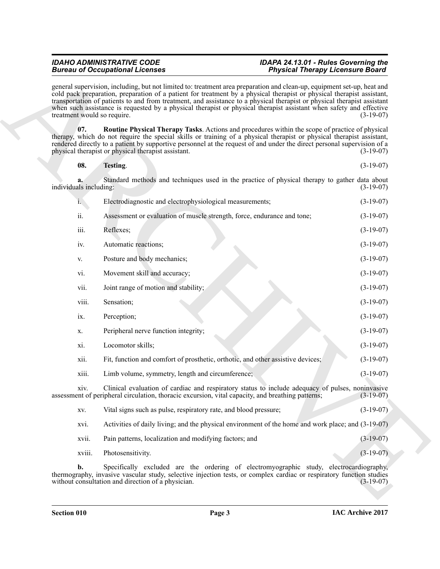#### *IDAHO ADMINISTRATIVE CODE IDAPA 24.13.01 - Rules Governing the* **Physical Therapy Licensure Board**

<span id="page-2-1"></span><span id="page-2-0"></span>

| 08. | Testing. |  | $(3-19-07)$ |
|-----|----------|--|-------------|
|-----|----------|--|-------------|

|                             | <b>Bureau of Occupational Licenses</b>                                                                                                                                                                                                                                                                                                                                                                                                                                                               | <b>Physical Therapy Licensure Board</b> |
|-----------------------------|------------------------------------------------------------------------------------------------------------------------------------------------------------------------------------------------------------------------------------------------------------------------------------------------------------------------------------------------------------------------------------------------------------------------------------------------------------------------------------------------------|-----------------------------------------|
| treatment would so require. | general supervision, including, but not limited to: treatment area preparation and clean-up, equipment set-up, heat and<br>cold pack preparation, preparation of a patient for treatment by a physical therapist or physical therapist assistant,<br>transportation of patients to and from treatment, and assistance to a physical therapist or physical therapist assistant<br>when such assistance is requested by a physical therapist or physical therapist assistant when safety and effective | $(3-19-07)$                             |
| 07.                         | Routine Physical Therapy Tasks. Actions and procedures within the scope of practice of physical<br>therapy, which do not require the special skills or training of a physical therapist or physical therapist assistant,<br>rendered directly to a patient by supportive personnel at the request of and under the direct personal supervision of a<br>physical therapist or physical therapist assistant.                                                                                           | $(3-19-07)$                             |
| 08.                         | Testing.                                                                                                                                                                                                                                                                                                                                                                                                                                                                                             | $(3-19-07)$                             |
| individuals including:      | Standard methods and techniques used in the practice of physical therapy to gather data about                                                                                                                                                                                                                                                                                                                                                                                                        | $(3-19-07)$                             |
| $i$ .                       | Electrodiagnostic and electrophysiological measurements;                                                                                                                                                                                                                                                                                                                                                                                                                                             | $(3-19-07)$                             |
| ii.                         | Assessment or evaluation of muscle strength, force, endurance and tone;                                                                                                                                                                                                                                                                                                                                                                                                                              | $(3-19-07)$                             |
| iii.                        | Reflexes;                                                                                                                                                                                                                                                                                                                                                                                                                                                                                            | $(3-19-07)$                             |
| iv.                         | Automatic reactions;                                                                                                                                                                                                                                                                                                                                                                                                                                                                                 | $(3-19-07)$                             |
| V.                          | Posture and body mechanics;                                                                                                                                                                                                                                                                                                                                                                                                                                                                          | $(3-19-07)$                             |
| vi.                         | Movement skill and accuracy;                                                                                                                                                                                                                                                                                                                                                                                                                                                                         | $(3-19-07)$                             |
| vii.                        | Joint range of motion and stability;                                                                                                                                                                                                                                                                                                                                                                                                                                                                 | $(3-19-07)$                             |
| viii.                       | Sensation;                                                                                                                                                                                                                                                                                                                                                                                                                                                                                           | $(3-19-07)$                             |
| ix.                         | Perception;                                                                                                                                                                                                                                                                                                                                                                                                                                                                                          | $(3-19-07)$                             |
| X.                          | Peripheral nerve function integrity;                                                                                                                                                                                                                                                                                                                                                                                                                                                                 | $(3-19-07)$                             |
| xi.                         | Locomotor skills;                                                                                                                                                                                                                                                                                                                                                                                                                                                                                    | $(3-19-07)$                             |
| xii.                        | Fit, function and comfort of prosthetic, orthotic, and other assistive devices;                                                                                                                                                                                                                                                                                                                                                                                                                      | $(3-19-07)$                             |
| xiii.                       | Limb volume, symmetry, length and circumference;                                                                                                                                                                                                                                                                                                                                                                                                                                                     | $(3-19-07)$                             |
|                             | Clinical evaluation of cardiac and respiratory status to include adequacy of pulses, noninvasive<br>assessment of peripheral circulation, thoracic excursion, vital capacity, and breathing patterns;                                                                                                                                                                                                                                                                                                | $(3-19-07)$                             |
| XV.                         | Vital signs such as pulse, respiratory rate, and blood pressure;                                                                                                                                                                                                                                                                                                                                                                                                                                     | $(3-19-07)$                             |
| xvi.                        | Activities of daily living; and the physical environment of the home and work place; and (3-19-07)                                                                                                                                                                                                                                                                                                                                                                                                   |                                         |
| xvii.                       | Pain patterns, localization and modifying factors; and                                                                                                                                                                                                                                                                                                                                                                                                                                               | $(3-19-07)$                             |
| xviii.                      | Photosensitivity.                                                                                                                                                                                                                                                                                                                                                                                                                                                                                    | $(3-19-07)$                             |
| b.                          | Specifically excluded are the ordering of electromyographic study, electrocardiography,<br>thermography, invasive vascular study, selective injection tests, or complex cardiac or respiratory function studies<br>without consultation and direction of a physician.                                                                                                                                                                                                                                | $(3-19-07)$                             |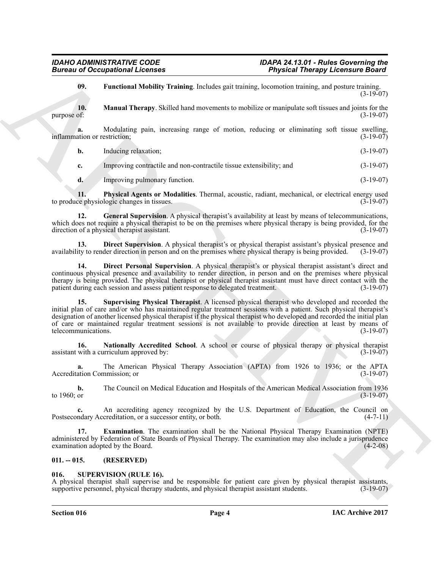<span id="page-3-7"></span><span id="page-3-5"></span>**09. Functional Mobility Training**. Includes gait training, locomotion training, and posture training.  $(3-19-07)$ 

**10.** Manual Therapy. Skilled hand movements to mobilize or manipulate soft tissues and joints for the purpose of: (3-19-07) purpose of:  $(3-19-07)$ 

**a.** Modulating pain, increasing range of motion, reducing or eliminating soft tissue swelling, ation or restriction:  $(3-19-07)$ inflammation or restriction;

| b. | Inducing relaxation; | $(3-19-07)$ |
|----|----------------------|-------------|
|----|----------------------|-------------|

**c.** Improving contractile and non-contractile tissue extensibility; and (3-19-07)

<span id="page-3-9"></span><span id="page-3-6"></span>**d.** Improving pulmonary function. (3-19-07)

**11. Physical Agents or Modalities**. Thermal, acoustic, radiant, mechanical, or electrical energy used the physiologic changes in tissues. (3-19-07) to produce physiologic changes in tissues.

**12. General Supervision**. A physical therapist's availability at least by means of telecommunications, which does not require a physical therapist to be on the premises where physical therapy is being provided, for the direction of a physical therapist assistant. direction of a physical therapist assistant.

<span id="page-3-3"></span>**13. Direct Supervision**. A physical therapist's or physical therapist assistant's physical presence and ity to render direction in person and on the premises where physical therapy is being provided. (3-19-07) availability to render direction in person and on the premises where physical therapy is being provided.

<span id="page-3-10"></span><span id="page-3-2"></span>**14. Direct Personal Supervision**. A physical therapist's or physical therapist assistant's direct and continuous physical presence and availability to render direction, in person and on the premises where physical therapy is being provided. The physical therapist or physical therapist assistant must have direct contact with the patient during each session and assess patient response to delegated treatment. (3-19-07) patient during each session and assess patient response to delegated treatment.

**Extracted and Contrast Contrast Contrast Contrast Contrast Contrast Contrast Contrast Contrast Contrast Contrast Contrast Contrast Contrast Contrast Contrast Contrast Contrast Contrast Contrast Contrast Contrast Contrast 15. Supervising Physical Therapist**. A licensed physical therapist who developed and recorded the initial plan of care and/or who has maintained regular treatment sessions with a patient. Such physical therapist's designation of another licensed physical therapist if the physical therapist who developed and recorded the initial plan of care or maintained regular treatment sessions is not available to provide direction at least by means of telecommunications. (3-19-07) telecommunications.

<span id="page-3-8"></span>**16.** Nationally Accredited School. A school or course of physical therapy or physical therapist with a curriculum approved by:  $(3-19-07)$ assistant with a curriculum approved by:

**a.** The American Physical Therapy Association (APTA) from 1926 to 1936; or the APTA ation Commission: or (3-19-07) Accreditation Commission; or

**b.** The Council on Medical Education and Hospitals of the American Medical Association from 1936 to 1960; or (3-19-07) to 1960; or  $(3-19-07)$ 

**c.** An accrediting agency recognized by the U.S. Department of Education, the Council on ndary Accreditation, or a successor entity or both. (4-7-11) Postsecondary Accreditation, or a successor entity, or both.

<span id="page-3-4"></span>**17. Examination**. The examination shall be the National Physical Therapy Examination (NPTE) administered by Federation of State Boards of Physical Therapy. The examination may also include a jurisprudence examination adopted by the Board. (4-2-08) examination adopted by the Board.

#### <span id="page-3-0"></span>**011. -- 015. (RESERVED)**

#### <span id="page-3-11"></span><span id="page-3-1"></span>**016. SUPERVISION (RULE 16).**

A physical therapist shall supervise and be responsible for patient care given by physical therapist assistants, supportive personnel, physical therapy students, and physical therapist assistant students. (3-19-07) supportive personnel, physical therapy students, and physical therapist assistant students.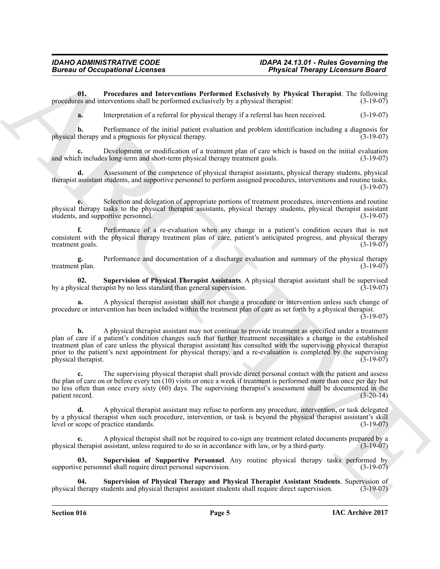**01.** Procedures and Interventions Performed Exclusively by Physical Therapist. The following es and interventions shall be performed exclusively by a physical therapist: (3-19-07) procedures and interventions shall be performed exclusively by a physical therapist:

<span id="page-4-0"></span>**a.** Interpretation of a referral for physical therapy if a referral has been received.  $(3-19-07)$ 

**b.** Performance of the initial patient evaluation and problem identification including a diagnosis for the initial patient evaluation and problem identification including a diagnosis for the rapy. physical therapy and a prognosis for physical therapy.

Development or modification of a treatment plan of care which is based on the initial evaluation of s long-term and short-term physical therapy treatment goals. (3-19-07) and which includes long-term and short-term physical therapy treatment goals.

**d.** Assessment of the competence of physical therapist assistants, physical therapy students, physical therapist assistant students, and supportive personnel to perform assigned procedures, interventions and routine tasks. (3-19-07)

**e.** Selection and delegation of appropriate portions of treatment procedures, interventions and routine physical therapy tasks to the physical therapist assistants, physical therapy students, physical therapist assistant students, and supportive personnel. (3-19-07)

**f.** Performance of a re-evaluation when any change in a patient's condition occurs that is not consistent with the physical therapy treatment plan of care, patient's anticipated progress, and physical therapy treatment goals. (3-19-07) treatment goals.

Performance and documentation of a discharge evaluation and summary of the physical therapy<br>(3-19-07) treatment plan.

<span id="page-4-1"></span>**02. Supervision of Physical Therapist Assistants**. A physical therapist assistant shall be supervised by a physical therapist by no less standard than general supervision.

**a.** A physical therapist assistant shall not change a procedure or intervention unless such change of procedure or intervention has been included within the treatment plan of care as set forth by a physical therapist. (3-19-07)

Bureau of Occupations I Licensins Continue and Reference Exclusive Physical Theoretics. The system of the system of the system of the system of the system of the system of the system of the system of the system of the sys **b.** A physical therapist assistant may not continue to provide treatment as specified under a treatment plan of care if a patient's condition changes such that further treatment necessitates a change in the established treatment plan of care unless the physical therapist assistant has consulted with the supervising physical therapist prior to the patient's next appointment for physical therapy, and a re-evaluation is completed by the supervising physical therapist. (3-19-07)

**c.** The supervising physical therapist shall provide direct personal contact with the patient and assess the plan of care on or before every ten (10) visits or once a week if treatment is performed more than once per day but no less often than once every sixty (60) days. The supervising therapist's assessment shall be documented in the patient record. (3-20-14) patient record.

**d.** A physical therapist assistant may refuse to perform any procedure, intervention, or task delegated by a physical therapist when such procedure, intervention, or task is beyond the physical therapist assistant's skill level or scope of practice standards. (3-19-07)

**e.** A physical therapist shall not be required to co-sign any treatment related documents prepared by a physical therapist assistant, unless required to do so in accordance with law, or by a third-party. (3-19-07)

<span id="page-4-3"></span>**03.** Supervision of Supportive Personnel. Any routine physical therapy tasks performed by ve personnel shall require direct personal supervision. (3-19-07) supportive personnel shall require direct personal supervision.

<span id="page-4-2"></span>**Supervision of Physical Therapy and Physical Therapist Assistant Students**. Supervision of tudents and physical therapist assistant students shall require direct supervision. (3-19-07) physical therapy students and physical therapist assistant students shall require direct supervision.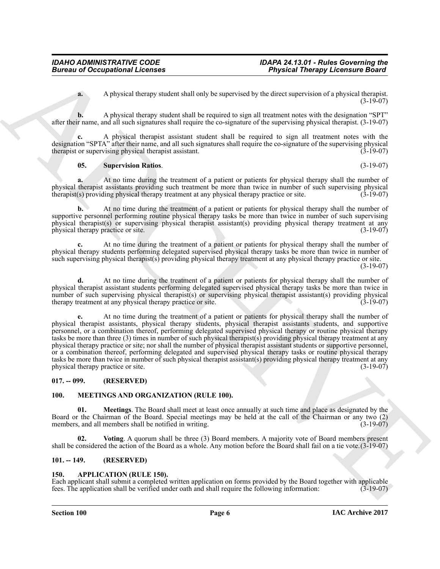**a.** A physical therapy student shall only be supervised by the direct supervision of a physical therapist. (3-19-07)

**b.** A physical therapy student shall be required to sign all treatment notes with the designation "SPT" after their name, and all such signatures shall require the co-signature of the supervising physical therapist. (3-19-07)

**c.** A physical therapist assistant student shall be required to sign all treatment notes with the designation "SPTA" after their name, and all such signatures shall require the co-signature of the supervising physical therapist or supervising physical therapist assistant. (3-19-07)

#### <span id="page-5-8"></span>**05. Supervision Ratios**. (3-19-07)

**a.** At no time during the treatment of a patient or patients for physical therapy shall the number of physical therapist assistants providing such treatment be more than twice in number of such supervising physical therapist(s) providing physical therapy treatment at any physical therapy practice or site. (3-19-07) therapist(s) providing physical therapy treatment at any physical therapy practice or site. (3-19-07)

**b.** At no time during the treatment of a patient or patients for physical therapy shall the number of supportive personnel performing routine physical therapy tasks be more than twice in number of such supervising physical therapist(s) or supervising physical therapist assistant(s) providing physical therapy treatment at any<br>physical therapy practice or site. (3-19-07) physical therapy practice or site.

**c.** At no time during the treatment of a patient or patients for physical therapy shall the number of physical therapy students performing delegated supervised physical therapy tasks be more than twice in number of such supervising physical therapist(s) providing physical therapy treatment at any physical therapy practice or site.

(3-19-07)

**d.** At no time during the treatment of a patient or patients for physical therapy shall the number of physical therapist assistant students performing delegated supervised physical therapy tasks be more than twice in number of such supervising physical therapist(s) or supervising physical therapist assistant(s) providing physical therapy treatment at any physical therapy practice or site. (3-19-07) therapy treatment at any physical therapy practice or site.

**Extracted The Contrast Contrast Section 12 Contrast Contrast Contrast Contrast Contrast Contrast Contrast Contrast Contrast Contrast Contrast Contrast Contrast Contrast Contrast Contrast Contrast Contrast Contrast Cont e.** At no time during the treatment of a patient or patients for physical therapy shall the number of physical therapist assistants, physical therapy students, physical therapist assistants students, and supportive personnel, or a combination thereof, performing delegated supervised physical therapy or routine physical therapy tasks be more than three  $(3)$  times in number of such physical therapist $(s)$  providing physical therapy treatment at any physical therapy practice or site; nor shall the number of physical therapist assistant students or supportive personnel, or a combination thereof, performing delegated and supervised physical therapy tasks or routine physical therapy tasks be more than twice in number of such physical therapist assistant(s) providing physical therapy treatment at any<br>(3-19-07) (3-19-07) physical therapy practice or site.

#### <span id="page-5-0"></span>**017. -- 099. (RESERVED)**

#### <span id="page-5-5"></span><span id="page-5-1"></span>**100. MEETINGS AND ORGANIZATION (RULE 100).**

<span id="page-5-6"></span>**01. Meetings**. The Board shall meet at least once annually at such time and place as designated by the Board or the Chairman of the Board. Special meetings may be held at the call of the Chairman or any two (2) members, and all members shall be notified in writing. (3-19-07) members, and all members shall be notified in writing.

<span id="page-5-7"></span>**02. Voting**. A quorum shall be three (3) Board members. A majority vote of Board members present shall be considered the action of the Board as a whole. Any motion before the Board shall fail on a tie vote.(3-19-07)

#### <span id="page-5-2"></span>**101. -- 149. (RESERVED)**

#### <span id="page-5-4"></span><span id="page-5-3"></span>**150. APPLICATION (RULE 150).**

Each applicant shall submit a completed written application on forms provided by the Board together with applicable fees. The application shall be verified under oath and shall require the following information: (3-19-07) fees. The application shall be verified under oath and shall require the following information: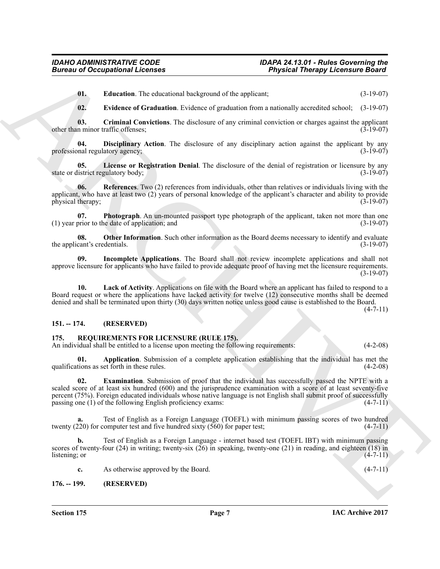<span id="page-6-5"></span>**01. Education**. The educational background of the applicant; (3-19-07)

<span id="page-6-6"></span><span id="page-6-4"></span><span id="page-6-3"></span>**02. Evidence of Graduation**. Evidence of graduation from a nationally accredited school; (3-19-07)

**03.** Criminal Convictions. The disclosure of any criminal conviction or charges against the applicant n minor traffic offenses: (3-19-07) other than minor traffic offenses;

**04. Disciplinary Action**. The disclosure of any disciplinary action against the applicant by any professional regulatory agency; (3-19-07)

<span id="page-6-9"></span>**05.** License or Registration Denial. The disclosure of the denial of registration or licensure by any listrict regulatory body: (3-19-07) state or district regulatory body;

<span id="page-6-12"></span>**06.** References. Two (2) references from individuals, other than relatives or individuals living with the applicant, who have at least two  $(2)$  years of personal knowledge of the applicant's character and ability to provide physical therapy;  $(3-19-07)$ physical therapy;

<span id="page-6-11"></span>**07. Photograph**. An un-mounted passport type photograph of the applicant, taken not more than one prior to the date of application: and (3-19-07)  $(1)$  year prior to the date of application; and

<span id="page-6-10"></span>**08. Other Information**. Such other information as the Board deems necessary to identify and evaluate cant's credentials. (3-19-07) the applicant's credentials.

<span id="page-6-7"></span>**09. Incomplete Applications**. The Board shall not review incomplete applications and shall not approve licensure for applicants who have failed to provide adequate proof of having met the licensure requirements. (3-19-07)

<span id="page-6-8"></span>**10. Lack of Activity**. Applications on file with the Board where an applicant has failed to respond to a Board request or where the applications have lacked activity for twelve (12) consecutive months shall be deemed denied and shall be terminated upon thirty (30) days written notice unless good cause is established to the Board.

#### $(4 - 7 - 11)$

#### <span id="page-6-0"></span>**151. -- 174. (RESERVED)**

#### <span id="page-6-13"></span><span id="page-6-1"></span>**175. REQUIREMENTS FOR LICENSURE (RULE 175).**

<span id="page-6-14"></span>An individual shall be entitled to a license upon meeting the following requirements: (4-2-08)

<span id="page-6-15"></span>**01. Application**. Submission of a complete application establishing that the individual has met the tions as set forth in these rules. (4-2-08) qualifications as set forth in these rules.

**Example 20** Coordination The constraints variance of the spin state of the spin state of the spin state of the spin state of the spin state of the spin state of the spin state of the spin state of the spin state of the s **02. Examination**. Submission of proof that the individual has successfully passed the NPTE with a scaled score of at least six hundred (600) and the jurisprudence examination with a score of at least seventy-five percent (75%). Foreign educated individuals whose native language is not English shall submit proof of successfully passing one (1) of the following English proficiency exams: (4-7-11) passing one  $(1)$  of the following English proficiency exams:

Test of English as a Foreign Language (TOEFL) with minimum passing scores of two hundred computer test and five hundred sixty (560) for paper test: (4-7-11) twenty  $(220)$  for computer test and five hundred sixty  $(560)$  for paper test;

**b.** Test of English as a Foreign Language - internet based test (TOEFL IBT) with minimum passing scores of twenty-four (24) in writing; twenty-six (26) in speaking, twenty-one (21) in reading, and eighteen (18) in listening; or  $(4-7-11)$ listening; or  $(4-7-11)$ 

**c.** As otherwise approved by the Board. (4-7-11)

<span id="page-6-2"></span>**176. -- 199. (RESERVED)**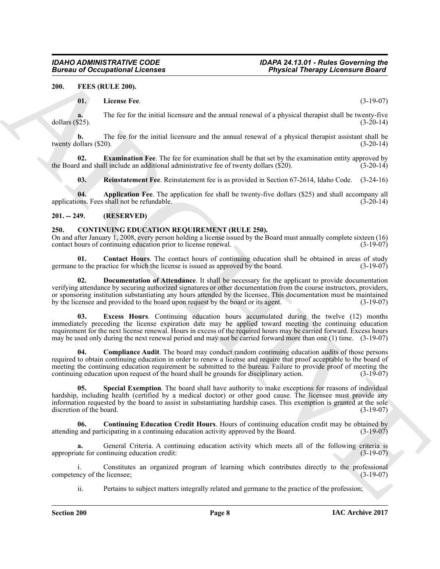<span id="page-7-0"></span>**200. FEES (RULE 200).**

#### <span id="page-7-13"></span><span id="page-7-10"></span>**01. License Fee**. (3-19-07)

**a.** The fee for the initial licensure and the annual renewal of a physical therapist shall be twenty-five  $(3-20-14)$ dollars  $(\$25)$ .

**b.** The fee for the initial licensure and the annual renewal of a physical therapist assistant shall be ollars (\$20). (3-20-14) twenty dollars  $(\$20)$ .

**02. Examination Fee**. The fee for examination shall be that set by the examination entity approved by d and shall include an additional administrative fee of twenty dollars (\$20). (3-20-14) the Board and shall include an additional administrative fee of twenty dollars (\$20).

<span id="page-7-14"></span><span id="page-7-12"></span><span id="page-7-11"></span>**03. Reinstatement Fee**. Reinstatement fee is as provided in Section 67-2614, Idaho Code. (3-24-16)

**04. Application Fee**. The application fee shall be twenty-five dollars (\$25) and shall accompany all ons. Fees shall not be refundable. (3-20-14) applications. Fees shall not be refundable.

#### <span id="page-7-1"></span>**201. -- 249. (RESERVED)**

#### <span id="page-7-3"></span><span id="page-7-2"></span>**250. CONTINUING EDUCATION REQUIREMENT (RULE 250).**

On and after January 1, 2008, every person holding a license issued by the Board must annually complete sixteen (16) contact hours of continuing education prior to license renewal. (3-19-07) contact hours of continuing education prior to license renewal.

<span id="page-7-5"></span>**01. Contact Hours**. The contact hours of continuing education shall be obtained in areas of study to the practice for which the license is issued as approved by the board. (3-19-07) germane to the practice for which the license is issued as approved by the board.

<span id="page-7-8"></span><span id="page-7-7"></span>**02. Documentation of Attendance**. It shall be necessary for the applicant to provide documentation verifying attendance by securing authorized signatures or other documentation from the course instructors, providers, or sponsoring institution substantiating any hours attended by the licensee. This documentation must be maintained<br>by the licensee and provided to the board upon request by the board or its agent. by the licensee and provided to the board upon request by the board or its agent.

Given to Conception of Licenses<br>
2001. **Fixed to the control of the state of the state of the state of the state of the state of the state of the state of the state of the state of the state of the state of the state of t 03. Excess Hours**. Continuing education hours accumulated during the twelve (12) months immediately preceding the license expiration date may be applied toward meeting the continuing education requirement for the next license renewal. Hours in excess of the required hours may be carried forward. Excess hours may be used only during the next renewal period and may not be carried forward more than one (1) time. (3-19-07)

<span id="page-7-4"></span>**04. Compliance Audit**. The board may conduct random continuing education audits of those persons required to obtain continuing education in order to renew a license and require that proof acceptable to the board of meeting the continuing education requirement be submitted to the bureau. Failure to provide proof of meeting the continuing education upon request of the board shall be grounds for disciplinary action. (3-19-07) continuing education upon request of the board shall be grounds for disciplinary action.

<span id="page-7-9"></span>**05. Special Exemption**. The board shall have authority to make exceptions for reasons of individual hardship, including health (certified by a medical doctor) or other good cause. The licensee must provide any information requested by the board to assist in substantiating hardship cases. This exemption is granted at the sole discretion of the board.

<span id="page-7-6"></span>**06.** Continuing Education Credit Hours. Hours of continuing education credit may be obtained by and participating in a continuing education activity approved by the Board. (3-19-07) attending and participating in a continuing education activity approved by the Board.

**a.** General Criteria. A continuing education activity which meets all of the following criteria is appropriate for continuing education credit: (3-19-07)

Constitutes an organized program of learning which contributes directly to the professional elicensee; (3-19-07) competency of the licensee;

ii. Pertains to subject matters integrally related and germane to the practice of the profession;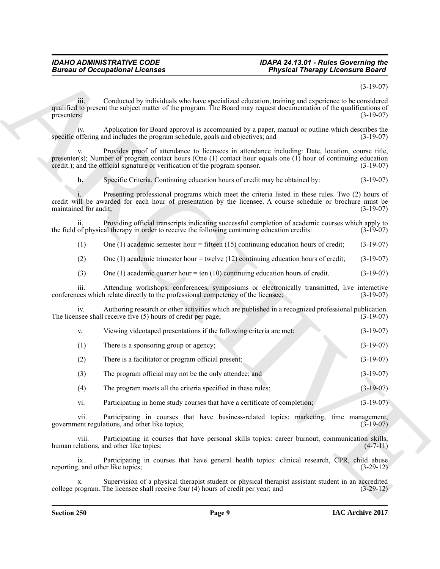#### (3-19-07)

**Sinces of Occupations I**. Technique probabilities the external properties of the state of the state of the state of the state of the state of the state of the state of the state of the state of the state of the state of iii. Conducted by individuals who have specialized education, training and experience to be considered qualified to present the subject matter of the program. The Board may request documentation of the qualifications of presenters;<br>(3-19-07) presenters;  $(3-19-07)$ 

iv. Application for Board approval is accompanied by a paper, manual or outline which describes the offering and includes the program schedule, goals and objectives: and  $(3-19-07)$ specific offering and includes the program schedule, goals and objectives; and

Provides proof of attendance to licensees in attendance including: Date, location, course title, presenter(s); Number of program contact hours (One (1) contact hour equals one (1) hour of continuing education credit.); and the official signature or verification of the program sponsor.  $(3-19-07)$ credit.); and the official signature or verification of the program sponsor.

**b.** Specific Criteria. Continuing education hours of credit may be obtained by:  $(3-19-07)$ 

Presenting professional programs which meet the criteria listed in these rules. Two (2) hours of credit will be awarded for each hour of presentation by the licensee. A course schedule or brochure must be maintained for audit;

ii. Providing official transcripts indicating successful completion of academic courses which apply to the field of physical therapy in order to receive the following continuing education credits:

(1) One (1) academic semester hour = fifteen (15) continuing education hours of credit; (3-19-07)

(2) One (1) academic trimester hour = twelve (12) continuing education hours of credit; (3-19-07)

(3) One (1) academic quarter hour = ten (10) continuing education hours of credit. (3-19-07)

iii. Attending workshops, conferences, symposiums or electronically transmitted, live interactive ces which relate directly to the professional competency of the licensee; (3-19-07) conferences which relate directly to the professional competency of the licensee;

iv. Authoring research or other activities which are published in a recognized professional publication.<br>see shall receive five (5) hours of credit per page;<br>(3-19-07) The licensee shall receive five (5) hours of credit per page;

| Viewing videotaped presentations if the following criteria are met: | $(3-19-07)$ |
|---------------------------------------------------------------------|-------------|
| There is a sponsoring group or agency;                              | $(3-19-07)$ |

(2) There is a facilitator or program official present; (3-19-07)

(3) The program official may not be the only attendee; and (3-19-07)

(4) The program meets all the criteria specified in these rules; (3-19-07)

vi. Participating in home study courses that have a certificate of completion; (3-19-07)

vii. Participating in courses that have business-related topics: marketing, time management, government regulations, and other like topics; (3-19-07)

viii. Participating in courses that have personal skills topics: career burnout, communication skills, elations, and other like topics; (4-7-11) human relations, and other like topics;

ix. Participating in courses that have general health topics: clinical research, CPR, child abuse<br>
(3-29-12)<br>
(3-29-12) reporting, and other like topics;

Supervision of a physical therapist student or physical therapist assistant student in an accredited The licensee shall receive four  $(4)$  hours of credit per year; and  $(3-29-12)$ college program. The licensee shall receive four  $(4)$  hours of credit per year; and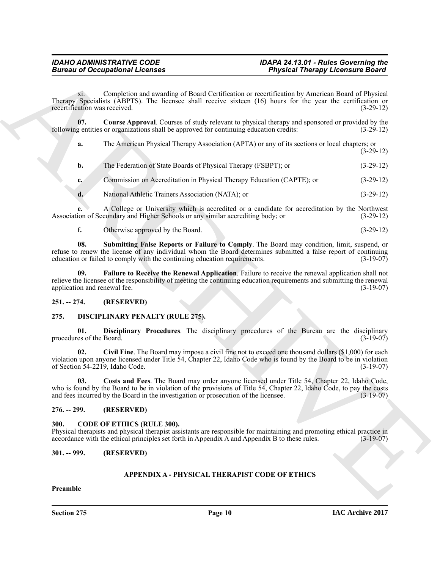<span id="page-9-7"></span>

|                                      | <b>Bureau of Occupational Licenses</b>                                                                                                                                                                                                                        | <b>Physical Therapy Licensure Board</b>                                                                |             |
|--------------------------------------|---------------------------------------------------------------------------------------------------------------------------------------------------------------------------------------------------------------------------------------------------------------|--------------------------------------------------------------------------------------------------------|-------------|
| xi.<br>recertification was received. | Therapy Specialists (ABPTS). The licensee shall receive sixteen (16) hours for the year the certification or                                                                                                                                                  | Completion and awarding of Board Certification or recertification by American Board of Physical        | $(3-29-12)$ |
| 07.                                  | following entities or organizations shall be approved for continuing education credits:                                                                                                                                                                       | <b>Course Approval.</b> Courses of study relevant to physical therapy and sponsored or provided by the | $(3-29-12)$ |
| a.                                   |                                                                                                                                                                                                                                                               | The American Physical Therapy Association (APTA) or any of its sections or local chapters; or          | $(3-29-12)$ |
| b.                                   | The Federation of State Boards of Physical Therapy (FSBPT); or                                                                                                                                                                                                |                                                                                                        | $(3-29-12)$ |
| c.                                   | Commission on Accreditation in Physical Therapy Education (CAPTE); or                                                                                                                                                                                         |                                                                                                        | $(3-29-12)$ |
| d.                                   | National Athletic Trainers Association (NATA); or                                                                                                                                                                                                             |                                                                                                        | $(3-29-12)$ |
|                                      | Association of Secondary and Higher Schools or any similar accrediting body; or                                                                                                                                                                               | A College or University which is accredited or a candidate for accreditation by the Northwest          | $(3-29-12)$ |
| f.                                   | Otherwise approved by the Board.                                                                                                                                                                                                                              |                                                                                                        | $(3-29-12)$ |
| 08.                                  | refuse to renew the license of any individual whom the Board determines submitted a false report of continuing<br>education or failed to comply with the continuing education requirements.                                                                   | Submitting False Reports or Failure to Comply. The Board may condition, limit, suspend, or             | $(3-19-07)$ |
| 09.<br>application and renewal fee.  | relieve the licensee of the responsibility of meeting the continuing education requirements and submitting the renewal                                                                                                                                        | Failure to Receive the Renewal Application. Failure to receive the renewal application shall not       | $(3-19-07)$ |
| $251. - 274.$                        | (RESERVED)                                                                                                                                                                                                                                                    |                                                                                                        |             |
| 275.                                 | <b>DISCIPLINARY PENALTY (RULE 275).</b>                                                                                                                                                                                                                       |                                                                                                        |             |
| 01.<br>procedures of the Board.      |                                                                                                                                                                                                                                                               | Disciplinary Procedures. The disciplinary procedures of the Bureau are the disciplinary                | $(3-19-07)$ |
| 02.                                  | violation upon anyone licensed under Title 54, Chapter 22, Idaho Code who is found by the Board to be in violation<br>of Section 54-2219, Idaho Code.                                                                                                         | Civil Fine. The Board may impose a civil fine not to exceed one thousand dollars (\$1,000) for each    | $(3-19-07)$ |
| 03.                                  | who is found by the Board to be in violation of the provisions of Title 54, Chapter 22, Idaho Code, to pay the costs<br>and fees incurred by the Board in the investigation or prosecution of the licensee.                                                   | Costs and Fees. The Board may order anyone licensed under Title 54, Chapter 22, Idaho Code,            | $(3-19-07)$ |
| $276. - 299.$                        | (RESERVED)                                                                                                                                                                                                                                                    |                                                                                                        |             |
| 300.                                 | <b>CODE OF ETHICS (RULE 300).</b><br>Physical therapists and physical therapist assistants are responsible for maintaining and promoting ethical practice in<br>accordance with the ethical principles set forth in Appendix A and Appendix B to these rules. |                                                                                                        | $(3-19-07)$ |
| $301. - 999.$                        | (RESERVED)                                                                                                                                                                                                                                                    |                                                                                                        |             |
|                                      |                                                                                                                                                                                                                                                               | APPENDIX A - PHYSICAL THERAPIST CODE OF ETHICS                                                         |             |
|                                      |                                                                                                                                                                                                                                                               |                                                                                                        |             |

#### <span id="page-9-9"></span><span id="page-9-8"></span>**f.** Otherwise approved by the Board. (3-29-12)

#### <span id="page-9-0"></span>**251. -- 274. (RESERVED)**

#### <span id="page-9-13"></span><span id="page-9-11"></span><span id="page-9-10"></span><span id="page-9-1"></span>**275. DISCIPLINARY PENALTY (RULE 275).**

#### <span id="page-9-12"></span><span id="page-9-2"></span>**276. -- 299. (RESERVED)**

#### <span id="page-9-6"></span><span id="page-9-3"></span>**300. CODE OF ETHICS (RULE 300).**

#### <span id="page-9-4"></span>**301. -- 999. (RESERVED)**

#### <span id="page-9-5"></span>**APPENDIX A - PHYSICAL THERAPIST CODE OF ETHICS**

**Section 275 Page 10**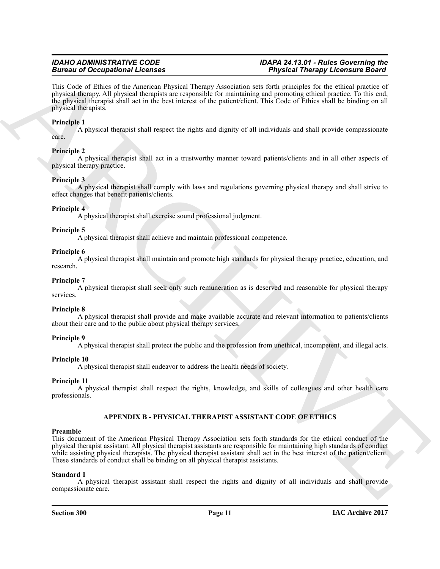## **Bureau of Occupational Licenses**

## *IDAHO ADMINISTRATIVE CODE IDAPA 24.13.01 - Rules Governing the*

**Example 20**<br>
Euro Conception Research Licenses<br>
21.10. Conce of College Conceptibility and Proposed Decay Associates as a single particular the steady product of the steady and the stephen of the steady and the stephen o This Code of Ethics of the American Physical Therapy Association sets forth principles for the ethical practice of physical therapy. All physical therapists are responsible for maintaining and promoting ethical practice. To this end, the physical therapist shall act in the best interest of the patient/client. This Code of Ethics shall be binding on all physical therapists.

#### **Principle 1**

A physical therapist shall respect the rights and dignity of all individuals and shall provide compassionate care.

#### **Principle 2**

A physical therapist shall act in a trustworthy manner toward patients/clients and in all other aspects of physical therapy practice.

#### **Principle 3**

A physical therapist shall comply with laws and regulations governing physical therapy and shall strive to effect changes that benefit patients/clients.

#### **Principle 4**

A physical therapist shall exercise sound professional judgment.

#### **Principle 5**

A physical therapist shall achieve and maintain professional competence.

#### **Principle 6**

A physical therapist shall maintain and promote high standards for physical therapy practice, education, and research.

#### **Principle 7**

A physical therapist shall seek only such remuneration as is deserved and reasonable for physical therapy services.

#### **Principle 8**

A physical therapist shall provide and make available accurate and relevant information to patients/clients about their care and to the public about physical therapy services.

#### **Principle 9**

A physical therapist shall protect the public and the profession from unethical, incompetent, and illegal acts.

#### **Principle 10**

A physical therapist shall endeavor to address the health needs of society.

#### **Principle 11**

A physical therapist shall respect the rights, knowledge, and skills of colleagues and other health care professionals.

#### <span id="page-10-0"></span>**APPENDIX B - PHYSICAL THERAPIST ASSISTANT CODE OF ETHICS**

#### **Preamble**

This document of the American Physical Therapy Association sets forth standards for the ethical conduct of the physical therapist assistant. All physical therapist assistants are responsible for maintaining high standards of conduct while assisting physical therapists. The physical therapist assistant shall act in the best interest of the patient/client. These standards of conduct shall be binding on all physical therapist assistants.

#### **Standard 1**

A physical therapist assistant shall respect the rights and dignity of all individuals and shall provide compassionate care.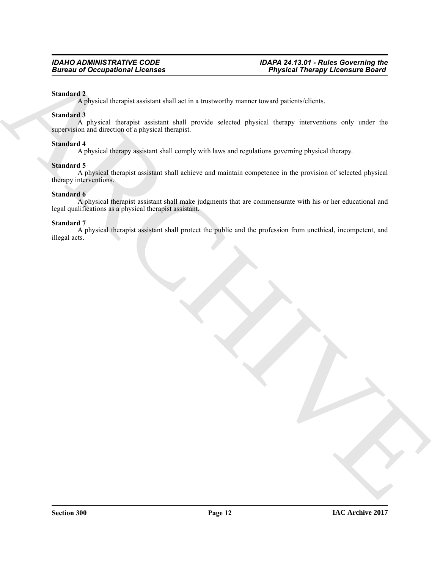#### **Standard 2**

A physical therapist assistant shall act in a trustworthy manner toward patients/clients.

#### **Standard 3**

Eurosia of Occupational Licensies<br>
Simulard 3<br>
Simulard 3<br>
Simulard 3<br>
Apply that heapies noisine that see in a memorially summer tound patients due to<br>
superiorism and direction of photos theory with provide acknot above A physical therapist assistant shall provide selected physical therapy interventions only under the supervision and direction of a physical therapist.

#### **Standard 4**

A physical therapy assistant shall comply with laws and regulations governing physical therapy.

#### **Standard 5**

A physical therapist assistant shall achieve and maintain competence in the provision of selected physical therapy interventions.

#### **Standard 6**

A physical therapist assistant shall make judgments that are commensurate with his or her educational and legal qualifications as a physical therapist assistant.

#### **Standard 7**

A physical therapist assistant shall protect the public and the profession from unethical, incompetent, and illegal acts.